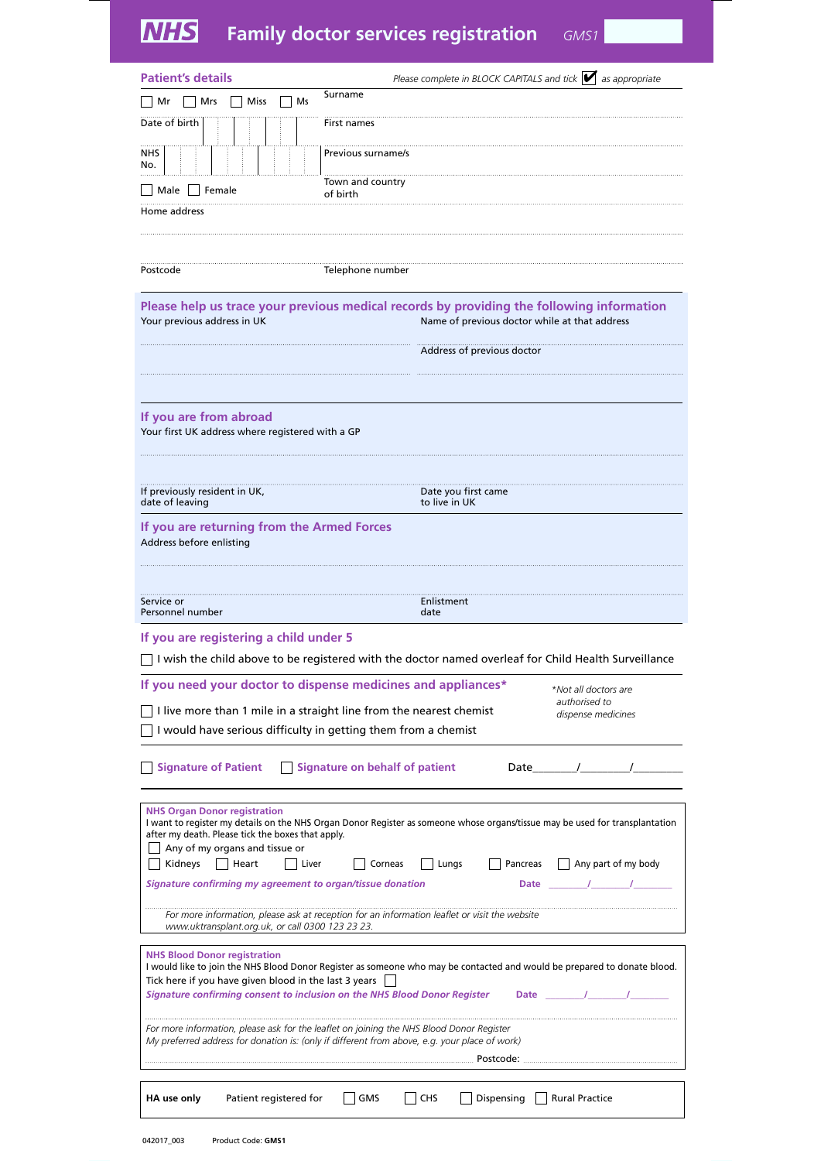# **Family doctor services registration** *GMS1*

| <b>Patient's details</b>                                                                                                                                                                  | Please complete in BLOCK CAPITALS and tick $\blacktriangleright$ as appropriate                                                                                          |
|-------------------------------------------------------------------------------------------------------------------------------------------------------------------------------------------|--------------------------------------------------------------------------------------------------------------------------------------------------------------------------|
| Surname<br>Mr<br>Mrs<br>Miss<br>Ms                                                                                                                                                        |                                                                                                                                                                          |
| Date of birth<br>First names                                                                                                                                                              |                                                                                                                                                                          |
| <b>NHS</b><br>Previous surname/s<br>No.                                                                                                                                                   |                                                                                                                                                                          |
| Town and country<br>  Female<br>Male  <br>of birth                                                                                                                                        |                                                                                                                                                                          |
| Home address                                                                                                                                                                              |                                                                                                                                                                          |
|                                                                                                                                                                                           |                                                                                                                                                                          |
| Postcode<br>Telephone number                                                                                                                                                              |                                                                                                                                                                          |
| Your previous address in UK                                                                                                                                                               | Please help us trace your previous medical records by providing the following information<br>Name of previous doctor while at that address                               |
|                                                                                                                                                                                           | Address of previous doctor                                                                                                                                               |
|                                                                                                                                                                                           |                                                                                                                                                                          |
|                                                                                                                                                                                           |                                                                                                                                                                          |
| If you are from abroad<br>Your first UK address where registered with a GP                                                                                                                |                                                                                                                                                                          |
|                                                                                                                                                                                           |                                                                                                                                                                          |
| If previously resident in UK,<br>date of leaving                                                                                                                                          | Date you first came<br>to live in UK                                                                                                                                     |
| If you are returning from the Armed Forces<br>Address before enlisting                                                                                                                    |                                                                                                                                                                          |
|                                                                                                                                                                                           |                                                                                                                                                                          |
|                                                                                                                                                                                           |                                                                                                                                                                          |
| Service or<br>Personnel number                                                                                                                                                            | Enlistment<br>date                                                                                                                                                       |
| If you are registering a child under 5                                                                                                                                                    |                                                                                                                                                                          |
|                                                                                                                                                                                           | I wish the child above to be registered with the doctor named overleaf for Child Health Surveillance                                                                     |
| If you need your doctor to dispense medicines and appliances*                                                                                                                             | *Not all doctors are                                                                                                                                                     |
| I live more than 1 mile in a straight line from the nearest chemist<br>I would have serious difficulty in getting them from a chemist                                                     | authorised to<br>dispense medicines                                                                                                                                      |
| <b>Signature of Patient</b><br>Signature on behalf of patient                                                                                                                             | Date /                                                                                                                                                                   |
| <b>NHS Organ Donor registration</b><br>after my death. Please tick the boxes that apply.<br>Any of my organs and tissue or<br>Heart<br>Kidneys<br>Liver<br>Corneas                        | I want to register my details on the NHS Organ Donor Register as someone whose organs/tissue may be used for transplantation<br>Pancreas<br>Any part of my body<br>Lungs |
| Signature confirming my agreement to organ/tissue donation                                                                                                                                | Date /                                                                                                                                                                   |
| For more information, please ask at reception for an information leaflet or visit the website<br>www.uktransplant.org.uk, or call 0300 123 23 23.                                         |                                                                                                                                                                          |
| <b>NHS Blood Donor registration</b><br>Tick here if you have given blood in the last 3 years<br>Signature confirming consent to inclusion on the NHS Blood Donor Register                 | I would like to join the NHS Blood Donor Register as someone who may be contacted and would be prepared to donate blood.<br>Date /                                       |
| For more information, please ask for the leaflet on joining the NHS Blood Donor Register<br>My preferred address for donation is: (only if different from above, e.g. your place of work) |                                                                                                                                                                          |
|                                                                                                                                                                                           |                                                                                                                                                                          |
| Patient registered for<br>GMS<br>HA use only                                                                                                                                              | Dispensing     Rural Practice<br><b>CHS</b>                                                                                                                              |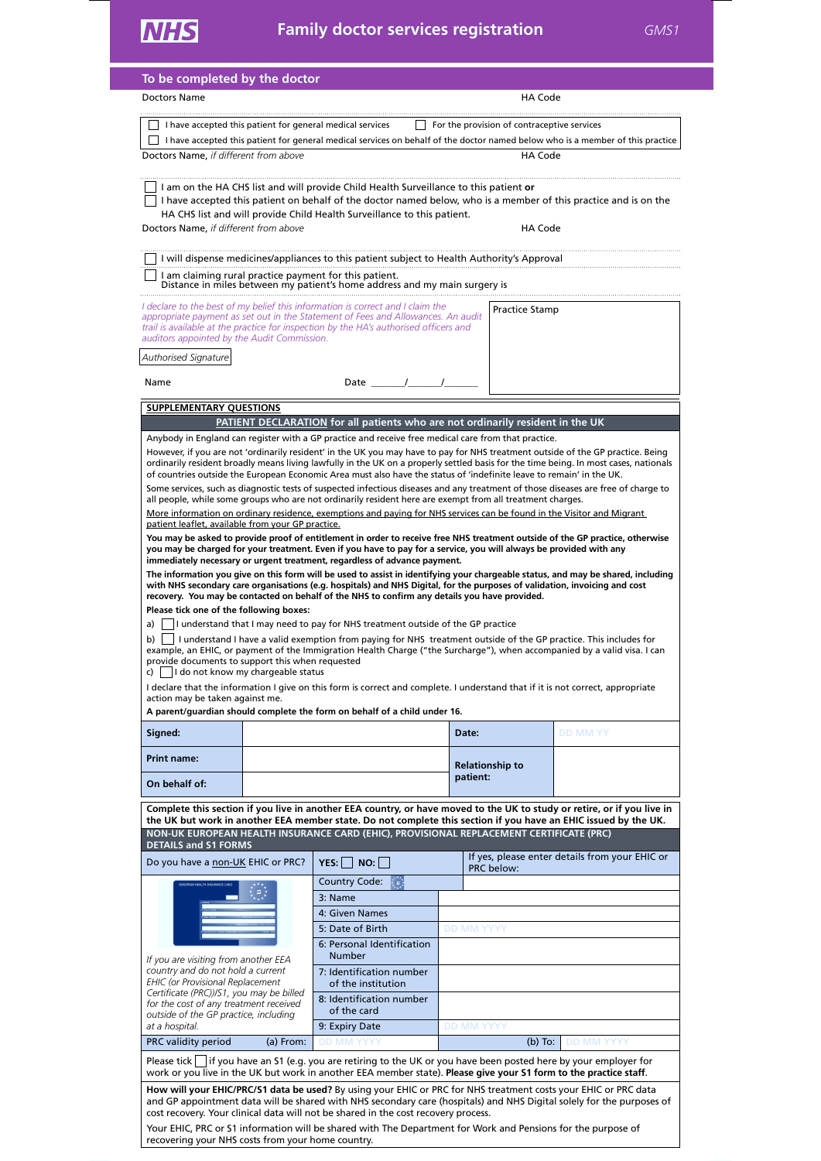| To be completed by the doctor                                                                                                                                                                                                                                  |                                                                                |                   |                                             |                                                |
|----------------------------------------------------------------------------------------------------------------------------------------------------------------------------------------------------------------------------------------------------------------|--------------------------------------------------------------------------------|-------------------|---------------------------------------------|------------------------------------------------|
| Doctors Name                                                                                                                                                                                                                                                   |                                                                                |                   | HA Code                                     |                                                |
| I have accepted this patient for general medical services                                                                                                                                                                                                      |                                                                                |                   | For the provision of contraceptive services |                                                |
| I have accepted this patient for general medical services on behalf of the doctor named below who is a member of this practice                                                                                                                                 |                                                                                |                   |                                             |                                                |
| Doctors Name, if different from above                                                                                                                                                                                                                          |                                                                                |                   | <b>HA Code</b>                              |                                                |
|                                                                                                                                                                                                                                                                |                                                                                |                   |                                             |                                                |
| I am on the HA CHS list and will provide Child Health Surveillance to this patient or<br>I have accepted this patient on behalf of the doctor named below, who is a member of this practice and is on the                                                      |                                                                                |                   |                                             |                                                |
| HA CHS list and will provide Child Health Surveillance to this patient.                                                                                                                                                                                        |                                                                                |                   |                                             |                                                |
| Doctors Name, if different from above                                                                                                                                                                                                                          |                                                                                |                   | HA Code                                     |                                                |
| I will dispense medicines/appliances to this patient subject to Health Authority's Approval                                                                                                                                                                    |                                                                                |                   |                                             |                                                |
| I am claiming rural practice payment for this patient.                                                                                                                                                                                                         |                                                                                |                   |                                             |                                                |
| Distance in miles between my patient's home address and my main surgery is                                                                                                                                                                                     |                                                                                |                   |                                             |                                                |
| l declare to the best of my belief this information is correct and I claim the<br>appropriate payment as set out in the Statement of Fees and Allowances. An audit                                                                                             |                                                                                |                   | Practice Stamp                              |                                                |
| trail is available at the practice for inspection by the HA's authorised officers and<br>auditors appointed by the Audit Commission.                                                                                                                           |                                                                                |                   |                                             |                                                |
| Authorised Signature                                                                                                                                                                                                                                           |                                                                                |                   |                                             |                                                |
|                                                                                                                                                                                                                                                                |                                                                                |                   |                                             |                                                |
| Name                                                                                                                                                                                                                                                           | Date /                                                                         |                   |                                             |                                                |
| <b>SUPPLEMENTARY QUESTIONS</b>                                                                                                                                                                                                                                 |                                                                                |                   |                                             |                                                |
| Anybody in England can register with a GP practice and receive free medical care from that practice.                                                                                                                                                           | PATIENT DECLARATION for all patients who are not ordinarily resident in the UK |                   |                                             |                                                |
| However, if you are not 'ordinarily resident' in the UK you may have to pay for NHS treatment outside of the GP practice. Being                                                                                                                                |                                                                                |                   |                                             |                                                |
| ordinarily resident broadly means living lawfully in the UK on a properly settled basis for the time being. In most cases, nationals<br>of countries outside the European Economic Area must also have the status of 'indefinite leave to remain' in the UK.   |                                                                                |                   |                                             |                                                |
| Some services, such as diagnostic tests of suspected infectious diseases and any treatment of those diseases are free of charge to                                                                                                                             |                                                                                |                   |                                             |                                                |
| all people, while some groups who are not ordinarily resident here are exempt from all treatment charges.<br>More information on ordinary residence, exemptions and paying for NHS services can be found in the Visitor and Migrant                            |                                                                                |                   |                                             |                                                |
| patient leaflet, available from your GP practice.                                                                                                                                                                                                              |                                                                                |                   |                                             |                                                |
| You may be asked to provide proof of entitlement in order to receive free NHS treatment outside of the GP practice, otherwise<br>you may be charged for your treatment. Even if you have to pay for a service, you will always be provided with any            |                                                                                |                   |                                             |                                                |
| immediately necessary or urgent treatment, regardless of advance payment.                                                                                                                                                                                      |                                                                                |                   |                                             |                                                |
| The information you give on this form will be used to assist in identifying your chargeable status, and may be shared, including<br>with NHS secondary care organisations (e.g. hospitals) and NHS Digital, for the purposes of validation, invoicing and cost |                                                                                |                   |                                             |                                                |
| recovery. You may be contacted on behalf of the NHS to confirm any details you have provided.<br>Please tick one of the following boxes:                                                                                                                       |                                                                                |                   |                                             |                                                |
| I understand that I may need to pay for NHS treatment outside of the GP practice<br>a)                                                                                                                                                                         |                                                                                |                   |                                             |                                                |
| b)<br>I understand I have a valid exemption from paying for NHS treatment outside of the GP practice. This includes for                                                                                                                                        |                                                                                |                   |                                             |                                                |
| example, an EHIC, or payment of the Immigration Health Charge ("the Surcharge"), when accompanied by a valid visa. I can<br>provide documents to support this when requested                                                                                   |                                                                                |                   |                                             |                                                |
| c) $\vert$ $\vert$ I do not know my chargeable status<br>I declare that the information I give on this form is correct and complete. I understand that if it is not correct, appropriate                                                                       |                                                                                |                   |                                             |                                                |
| action may be taken against me.                                                                                                                                                                                                                                |                                                                                |                   |                                             |                                                |
| A parent/guardian should complete the form on behalf of a child under 16.                                                                                                                                                                                      |                                                                                |                   |                                             |                                                |
| Signed:                                                                                                                                                                                                                                                        |                                                                                | Date:             |                                             | <b>DD MM YY</b>                                |
| <b>Print name:</b>                                                                                                                                                                                                                                             |                                                                                |                   | <b>Relationship to</b>                      |                                                |
| On behalf of:                                                                                                                                                                                                                                                  |                                                                                | patient:          |                                             |                                                |
|                                                                                                                                                                                                                                                                |                                                                                |                   |                                             |                                                |
| Complete this section if you live in another EEA country, or have moved to the UK to study or retire, or if you live in<br>the UK but work in another EEA member state. Do not complete this section if you have an EHIC issued by the UK.                     |                                                                                |                   |                                             |                                                |
| NON-UK EUROPEAN HEALTH INSURANCE CARD (EHIC), PROVISIONAL REPLACEMENT CERTIFICATE (PRC)<br><b>DETAILS and S1 FORMS</b>                                                                                                                                         |                                                                                |                   |                                             |                                                |
| Do you have a non-UK EHIC or PRC?                                                                                                                                                                                                                              | NO:<br>YES:                                                                    |                   |                                             | If yes, please enter details from your EHIC or |
|                                                                                                                                                                                                                                                                | <b>Country Code:</b>                                                           |                   | PRC below:                                  |                                                |
|                                                                                                                                                                                                                                                                | 3: Name                                                                        |                   |                                             |                                                |
|                                                                                                                                                                                                                                                                | 4: Given Names                                                                 |                   |                                             |                                                |
|                                                                                                                                                                                                                                                                | 5: Date of Birth                                                               | <b>DD MM YYYY</b> |                                             |                                                |
| If you are visiting from another EEA                                                                                                                                                                                                                           | 6: Personal Identification<br><b>Number</b>                                    |                   |                                             |                                                |
| country and do not hold a current                                                                                                                                                                                                                              | 7: Identification number                                                       |                   |                                             |                                                |
| <b>EHIC</b> (or Provisional Replacement<br>Certificate (PRC))/S1, you may be billed                                                                                                                                                                            | of the institution                                                             |                   |                                             |                                                |
| for the cost of any treatment received<br>outside of the GP practice, including                                                                                                                                                                                | 8: Identification number<br>of the card                                        |                   |                                             |                                                |
| at a hospital.                                                                                                                                                                                                                                                 | 9: Expiry Date                                                                 | <b>DD MM YYYY</b> |                                             |                                                |
| PRC validity period<br>(a) From:                                                                                                                                                                                                                               | <b>DD MM YYYY</b>                                                              |                   | $(b)$ To:                                   | <b>DD MM YYYY</b>                              |
| Please tick $\vert$ if you have an S1 (e.g. you are retiring to the UK or you have been posted here by your employer for<br>work or you live in the UK but work in another EEA member state). Please give your S1 form to the practice staff.                  |                                                                                |                   |                                             |                                                |
| How will your EHIC/PRC/S1 data be used? By using your EHIC or PRC for NHS treatment costs your EHIC or PRC data                                                                                                                                                |                                                                                |                   |                                             |                                                |
| and GP appointment data will be shared with NHS secondary care (hospitals) and NHS Digital solely for the purposes of<br>cost recovery. Your clinical data will not be shared in the cost recovery process.                                                    |                                                                                |                   |                                             |                                                |
| Your EHIC, PRC or S1 information will be shared with The Department for Work and Pensions for the purpose of                                                                                                                                                   |                                                                                |                   |                                             |                                                |
| recovering your NHS costs from your home country.                                                                                                                                                                                                              |                                                                                |                   |                                             |                                                |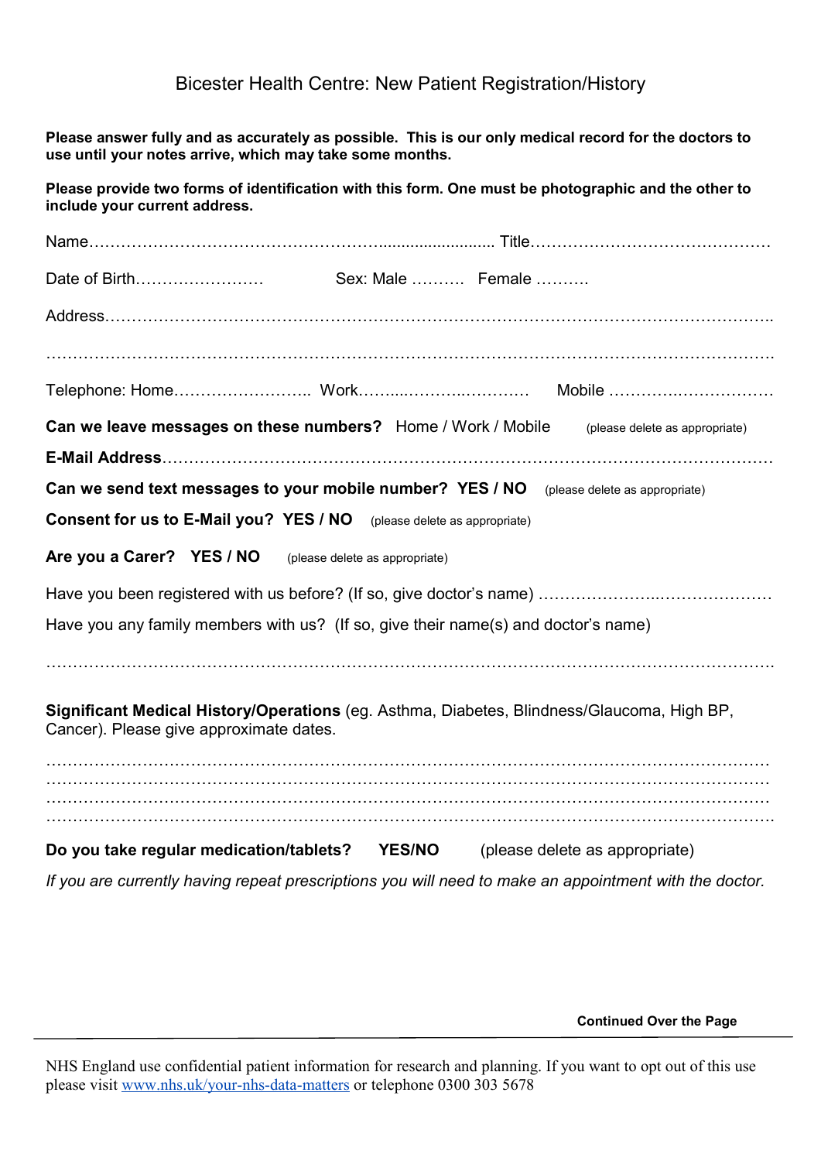### **Bicester Health Centre: New Patient Registration/History**

Please answer fully and as accurately as possible. This is our only medical record for the doctors to use until your notes arrive, which may take some months.

Please provide two forms of identification with this form. One must be photographic and the other to include your current address.

| Sex: Male  Female                                                                                                                     |
|---------------------------------------------------------------------------------------------------------------------------------------|
|                                                                                                                                       |
|                                                                                                                                       |
|                                                                                                                                       |
| Can we leave messages on these numbers? Home / Work / Mobile<br>(please delete as appropriate)                                        |
|                                                                                                                                       |
| Can we send text messages to your mobile number? YES / NO (please delete as appropriate)                                              |
| <b>Consent for us to E-Mail you? YES / NO</b> (please delete as appropriate)                                                          |
| Are you a Carer? YES / NO<br>(please delete as appropriate)                                                                           |
|                                                                                                                                       |
| Have you any family members with us? (If so, give their name(s) and doctor's name)                                                    |
|                                                                                                                                       |
|                                                                                                                                       |
| Significant Medical History/Operations (eg. Asthma, Diabetes, Blindness/Glaucoma, High BP,<br>Cancer). Please give approximate dates. |
|                                                                                                                                       |
|                                                                                                                                       |
|                                                                                                                                       |
| Do you take regular medication/tablets? YES/NO (please delete as appropriate)                                                         |
| If you are currently having repeat prescriptions you will need to make an appointment with the doctor                                 |

**Continued Over the Page** 

NHS England use confidential patient information for research and planning. If you want to opt out of this use please visit www.nhs.uk/your-nhs-data-matters or telephone 0300 303 5678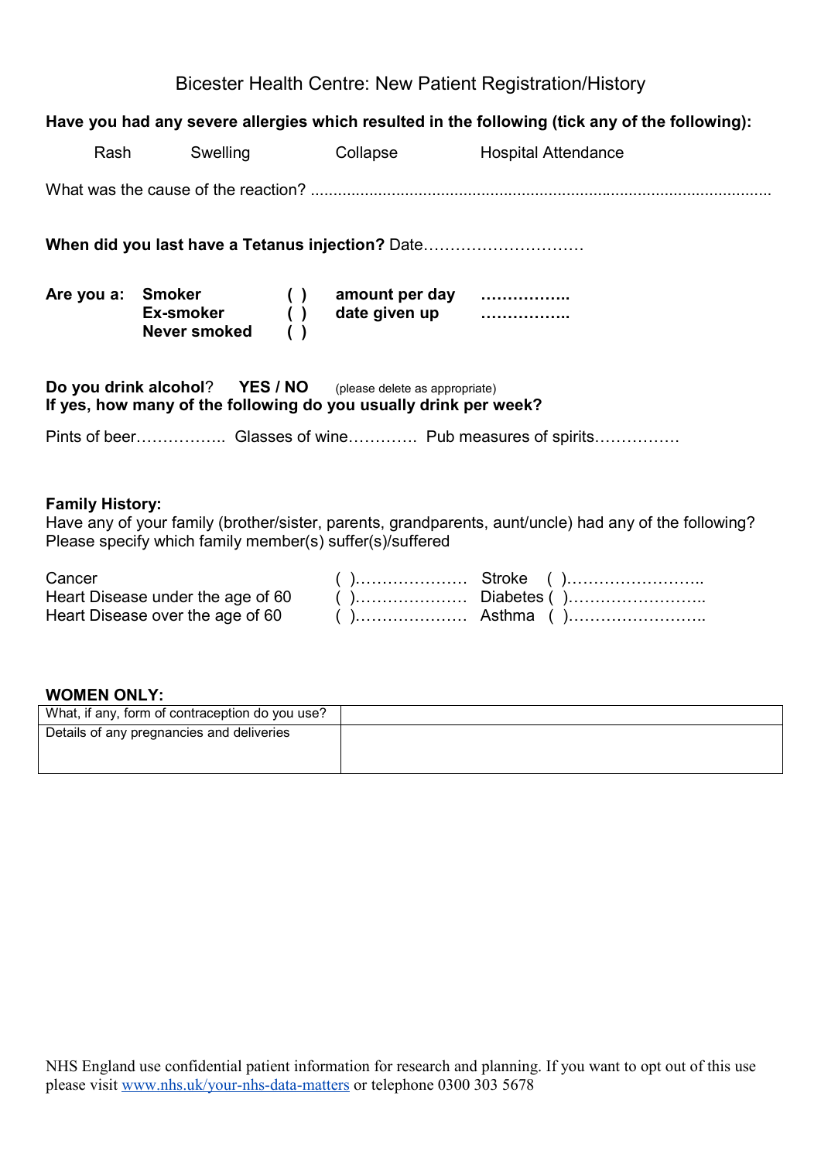### **Bicester Health Centre: New Patient Registration/History**

### Have you had any severe allergies which resulted in the following (tick any of the following):

|                        | Rash<br>Swelling |                                                                                                                                          | Collapse Hospital Attendance                                                                          |
|------------------------|------------------|------------------------------------------------------------------------------------------------------------------------------------------|-------------------------------------------------------------------------------------------------------|
|                        |                  |                                                                                                                                          |                                                                                                       |
|                        |                  | When did you last have a Tetanus injection? Date                                                                                         |                                                                                                       |
|                        |                  | Are you a: Smoker () amount per day<br>Ex-smoker () date given up<br>Never smoked ()                                                     |                                                                                                       |
|                        |                  | <b>Do you drink alcohol?</b> YES / NO (please delete as appropriate)<br>If yes, how many of the following do you usually drink per week? |                                                                                                       |
|                        |                  |                                                                                                                                          |                                                                                                       |
| <b>Family History:</b> |                  | Please specify which family member(s) suffer(s)/suffered                                                                                 | Have any of your family (brother/sister, parents, grandparents, aunt/uncle) had any of the following? |
| Cancer                 |                  |                                                                                                                                          |                                                                                                       |

| Cancer                            |  |
|-----------------------------------|--|
| Heart Disease under the age of 60 |  |
|                                   |  |

### **WOMEN ONLY:**

| What, if any, form of contraception do you use? |  |
|-------------------------------------------------|--|
| Details of any pregnancies and deliveries       |  |
|                                                 |  |
|                                                 |  |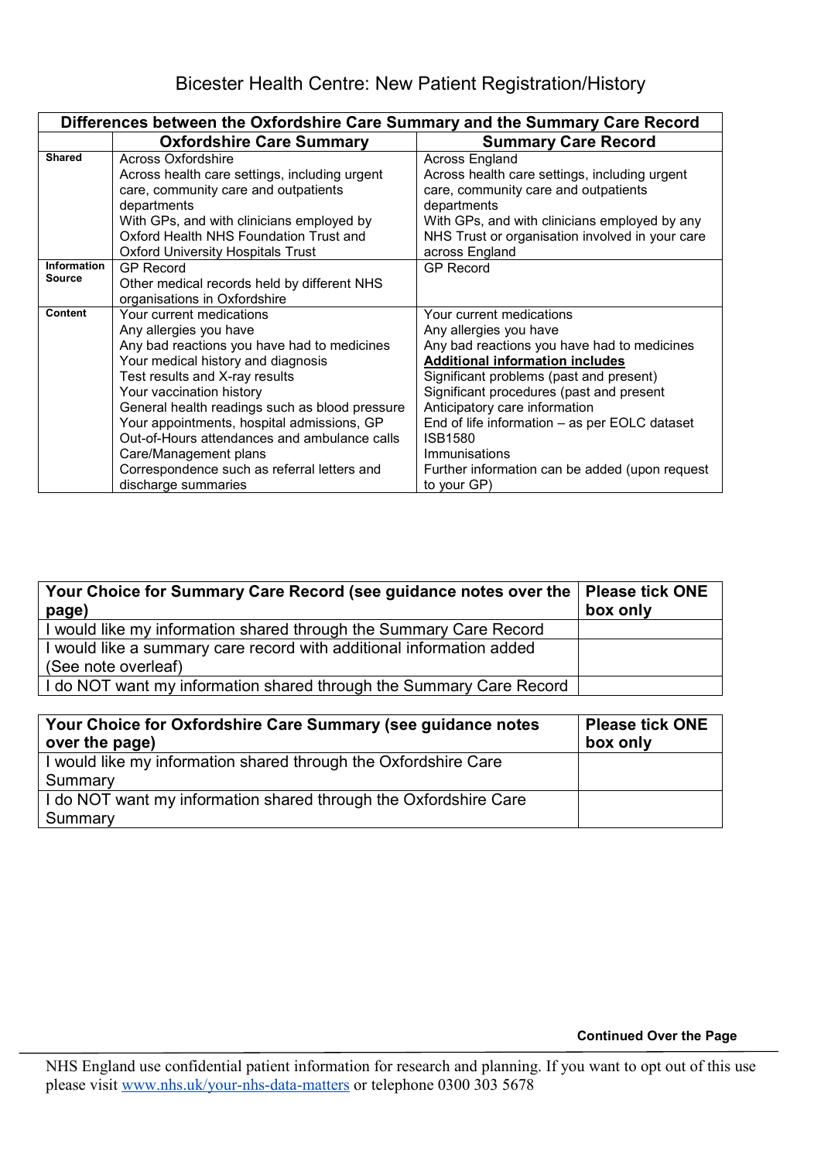| Differences between the Oxfordshire Care Summary and the Summary Care Record |                                                |                                                 |
|------------------------------------------------------------------------------|------------------------------------------------|-------------------------------------------------|
|                                                                              | <b>Oxfordshire Care Summary</b>                | <b>Summary Care Record</b>                      |
| <b>Shared</b>                                                                | <b>Across Oxfordshire</b>                      | Across England                                  |
|                                                                              | Across health care settings, including urgent  | Across health care settings, including urgent   |
|                                                                              | care, community care and outpatients           | care, community care and outpatients            |
|                                                                              | departments                                    | departments                                     |
|                                                                              | With GPs, and with clinicians employed by      | With GPs, and with clinicians employed by any   |
|                                                                              | Oxford Health NHS Foundation Trust and         | NHS Trust or organisation involved in your care |
|                                                                              | <b>Oxford University Hospitals Trust</b>       | across England                                  |
| <b>Information</b>                                                           | <b>GP Record</b>                               | <b>GP Record</b>                                |
| <b>Source</b>                                                                | Other medical records held by different NHS    |                                                 |
|                                                                              | organisations in Oxfordshire                   |                                                 |
| Content                                                                      | Your current medications                       | Your current medications                        |
|                                                                              | Any allergies you have                         | Any allergies you have                          |
|                                                                              | Any bad reactions you have had to medicines    | Any bad reactions you have had to medicines     |
|                                                                              | Your medical history and diagnosis             | <b>Additional information includes</b>          |
|                                                                              | Test results and X-ray results                 | Significant problems (past and present)         |
|                                                                              | Your vaccination history                       | Significant procedures (past and present        |
|                                                                              | General health readings such as blood pressure | Anticipatory care information                   |
|                                                                              | Your appointments, hospital admissions, GP     | End of life information – as per EOLC dataset   |
|                                                                              | Out-of-Hours attendances and ambulance calls   | ISB1580                                         |
|                                                                              | Care/Management plans                          | Immunisations                                   |
|                                                                              | Correspondence such as referral letters and    | Further information can be added (upon request  |
|                                                                              | discharge summaries                            | to your GP)                                     |

| Your Choice for Summary Care Record (see guidance notes over the   Please tick ONE<br>page) | box only |
|---------------------------------------------------------------------------------------------|----------|
| I would like my information shared through the Summary Care Record                          |          |
| I would like a summary care record with additional information added                        |          |
| (See note overleaf)                                                                         |          |
| I do NOT want my information shared through the Summary Care Record                         |          |
|                                                                                             |          |

| Your Choice for Oxfordshire Care Summary (see guidance notes<br>over the page) | <b>Please tick ONE</b><br>box only |
|--------------------------------------------------------------------------------|------------------------------------|
| I would like my information shared through the Oxfordshire Care                |                                    |
| Summary                                                                        |                                    |
| I do NOT want my information shared through the Oxfordshire Care               |                                    |
| Summary                                                                        |                                    |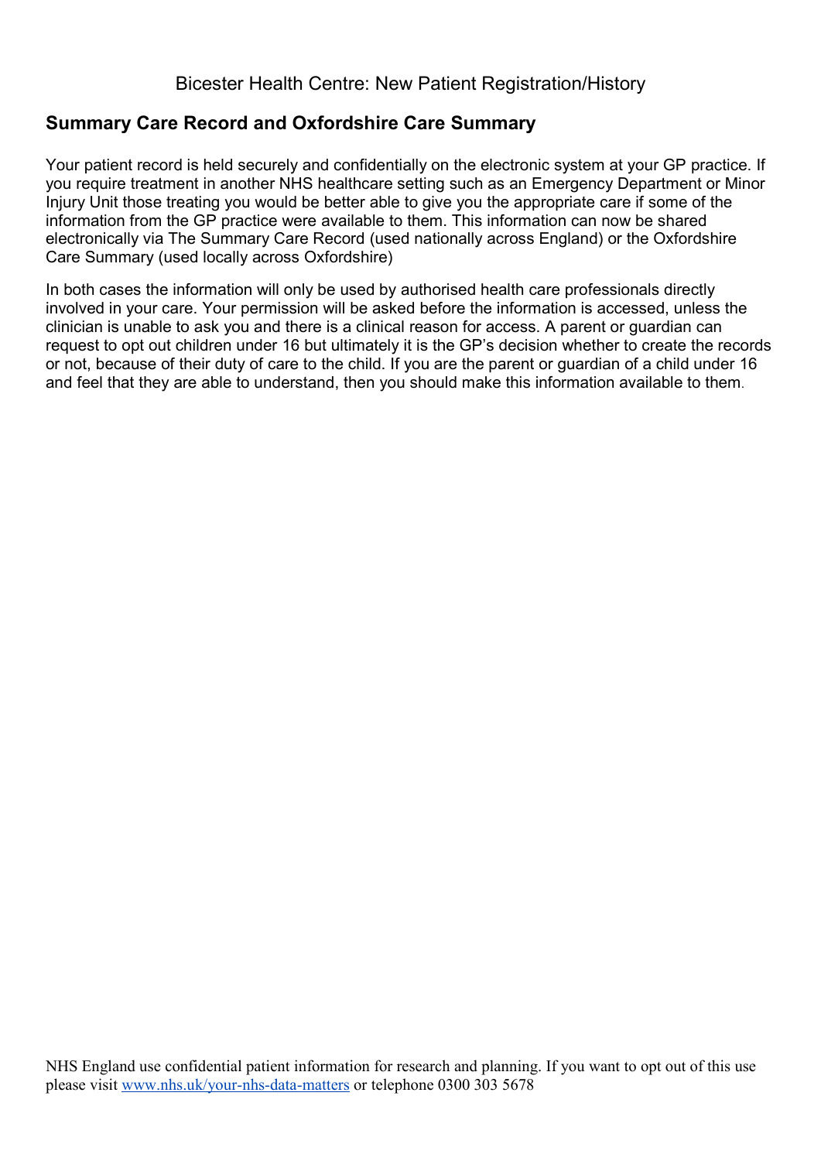### **Bicester Health Centre: New Patient Registration/History**

# **Summary Care Record and Oxfordshire Care Summary**

Your patient record is held securely and confidentially on the electronic system at your GP practice. If you require treatment in another NHS healthcare setting such as an Emergency Department or Minor Injury Unit those treating you would be better able to give you the appropriate care if some of the information from the GP practice were available to them. This information can now be shared electronically via The Summary Care Record (used nationally across England) or the Oxfordshire Care Summary (used locally across Oxfordshire)

In both cases the information will only be used by authorised health care professionals directly involved in your care. Your permission will be asked before the information is accessed, unless the clinician is unable to ask you and there is a clinical reason for access. A parent or guardian can request to opt out children under 16 but ultimately it is the GP's decision whether to create the records or not, because of their duty of care to the child. If you are the parent or quardian of a child under 16 and feel that they are able to understand, then you should make this information available to them.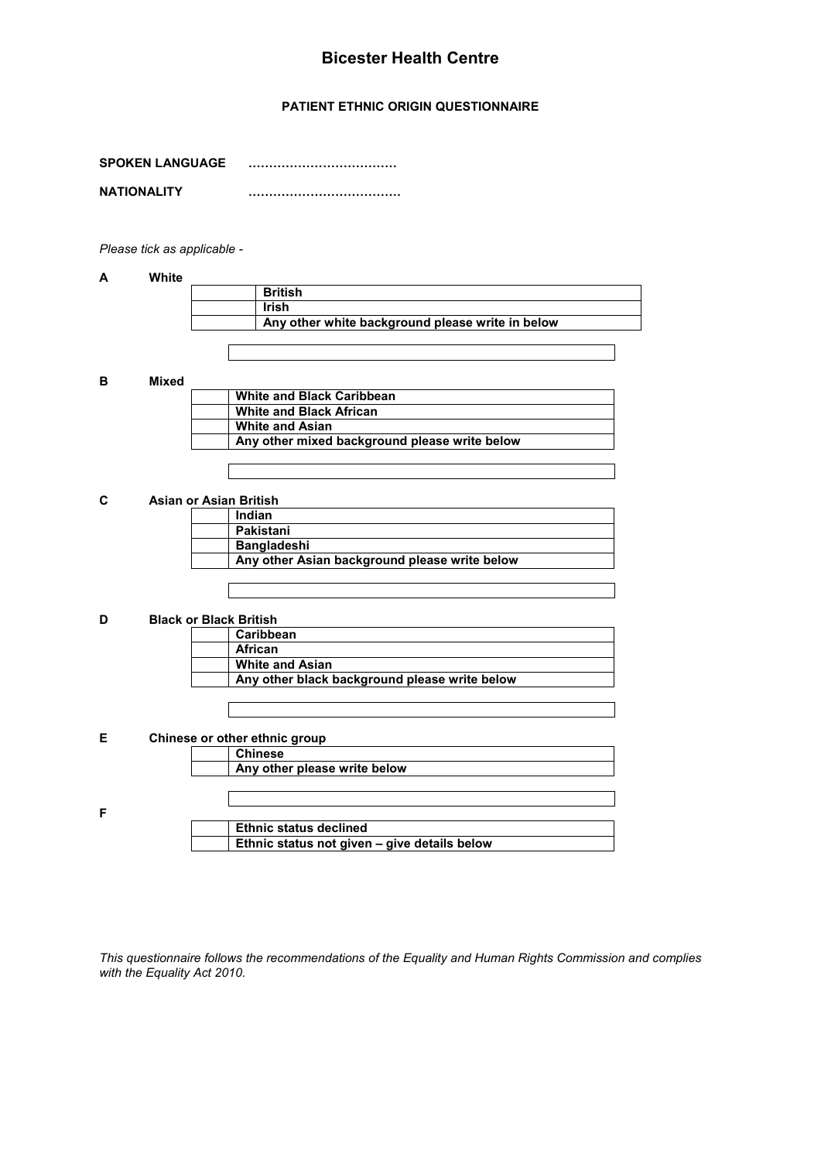### **Bicester Health Centre**

### PATIENT ETHNIC ORIGIN QUESTIONNAIRE

| <b>SPOKEN LANGUAGE</b> |  |
|------------------------|--|
| <b>NATIONALITY</b>     |  |

Please tick as applicable -

### $\boldsymbol{\mathsf{A}}$ White

| <b>British</b>                                   |
|--------------------------------------------------|
| <b>Irish</b>                                     |
| Any other white background please write in below |

 $\overline{B}$ **Mixed** 

| <b>White and Black Caribbean</b>              |
|-----------------------------------------------|
| <b>White and Black African</b>                |
| <b>White and Asian</b>                        |
| Any other mixed background please write below |
|                                               |

#### $\mathbf c$ **Asian or Asian British**

| Indian                                        |
|-----------------------------------------------|
| Pakistani                                     |
| <b>Bangladeshi</b>                            |
| Any other Asian background please write below |

#### D **Black or Black British**

|  | Caribbean                                     |  |
|--|-----------------------------------------------|--|
|  | African                                       |  |
|  | <b>White and Asian</b>                        |  |
|  | Any other black background please write below |  |
|  |                                               |  |

### Chinese or other ethnic group  $\mathsf E$

|   | Any other please write below                        |
|---|-----------------------------------------------------|
|   |                                                     |
|   |                                                     |
| F |                                                     |
|   | <b>Ethnic status declined</b>                       |
|   | <b>Ethnic status not given - give details below</b> |

This questionnaire follows the recommendations of the Equality and Human Rights Commission and complies with the Equality Act 2010.